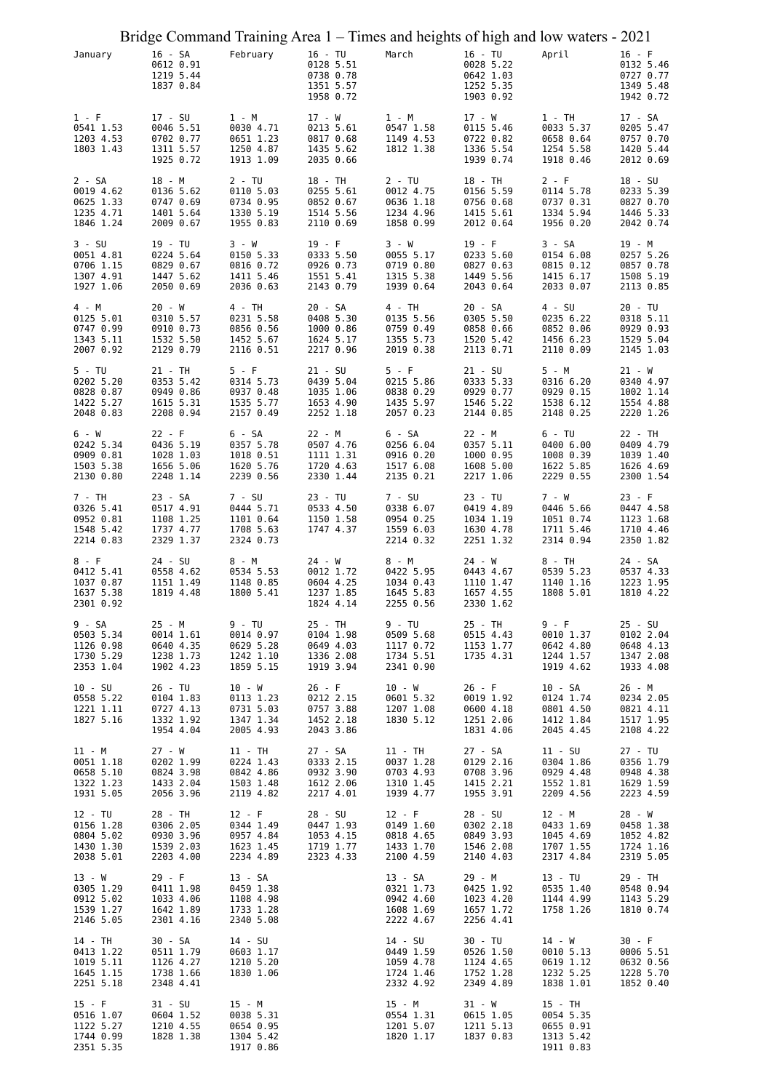|                                                              | Bridge Command Training Area 1 – Times and heights of high and low waters - 2021 |                                                              |                                                               |                                                              |                                                               |                                                              |                                                               |
|--------------------------------------------------------------|----------------------------------------------------------------------------------|--------------------------------------------------------------|---------------------------------------------------------------|--------------------------------------------------------------|---------------------------------------------------------------|--------------------------------------------------------------|---------------------------------------------------------------|
| January                                                      | 16 - SA<br>0612 0.91<br>1219 5.44<br>1837 0.84                                   | February                                                     | 16 - TU<br>0128 5.51<br>0738 0.78<br>1351 5.57<br>1958 0.72   | March                                                        | 16 - TU<br>0028 5.22<br>0642 1.03<br>1252 5.35<br>1903 0.92   | April                                                        | $16 - F$<br>0132 5.46<br>0727 0.77<br>1349 5.48<br>1942 0.72  |
| $1 - F$<br>0541 1.53<br>1203 4.53<br>1803 1.43               | 17 - SU<br>0046 5.51<br>0702 0.77<br>1311 5.57<br>1925 0.72                      | 1 - M<br>0030 4.71<br>0651 1.23<br>1250 4.87<br>1913 1.09    | 17 - W<br>0213 5.61<br>0817 0.68<br>1435 5.62<br>2035 0.66    | 1 - M<br>0547 1.58<br>1149 4.53<br>1812 1.38                 | 17 - W<br>0115 5.46<br>0722 0.82<br>1336 5.54<br>1939 0.74    | $1 - TH$<br>0033 5.37<br>0658 0.64<br>1254 5.58<br>1918 0.46 | 17 - SA<br>0205 5.47<br>0757 0.70<br>1420 5.44<br>2012 0.69   |
| $2 - SA$<br>0019 4.62<br>0625 1.33<br>1235 4.71<br>1846 1.24 | 18 - M<br>0136 5.62<br>0747 0.69<br>1401 5.64<br>2009 0.67                       | $2 - TU$<br>0110 5.03<br>0734 0.95<br>1330 5.19<br>1955 0.83 | 18 - TH<br>0255 5.61<br>0852 0.67<br>1514 5.56<br>2110 0.69   | $2 - TU$<br>0012 4.75<br>0636 1.18<br>1234 4.96<br>1858 0.99 | 18 - TH<br>0156 5.59<br>0756 0.68<br>1415 5.61<br>2012 0.64   | $2 - F$<br>0114 5.78<br>0737 0.31<br>1334 5.94<br>1956 0.20  | $18 - SU$<br>0233 5.39<br>0827 0.70<br>1446 5.33<br>2042 0.74 |
| $3 - SU$<br>0051 4.81<br>0706 1.15<br>1307 4.91<br>1927 1.06 | 19 - TU<br>0224 5.64<br>0829 0.67<br>1447 5.62<br>2050 0.69                      | 3 - W<br>0150 5.33<br>0816 0.72<br>1411 5.46<br>2036 0.63    | $19 - F$<br>0333 5.50<br>0926 0.73<br>1551 5.41<br>2143 0.79  | 3 - W<br>0055 5.17<br>0719 0.80<br>1315 5.38<br>1939 0.64    | $19 - F$<br>0233 5.60<br>0827 0.63<br>1449 5.56<br>2043 0.64  | $3 - SA$<br>0154 6.08<br>0815 0.12<br>1415 6.17<br>2033 0.07 | 19 - M<br>0257 5.26<br>0857 0.78<br>1508 5.19<br>2113 0.85    |
| 4 - M<br>0125 5.01<br>0747 0.99<br>1343 5.11<br>2007 0.92    | 20 - W<br>0310 5.57<br>0910 0.73<br>1532 5.50<br>2129 0.79                       | 4 - TH<br>0231 5.58<br>0856 0.56<br>1452 5.67<br>2116 0.51   | 20 - SA<br>0408 5.30<br>1000 0.86<br>1624 5.17<br>2217 0.96   | 4 - TH<br>0135 5.56<br>0759 0.49<br>1355 5.73<br>2019 0.38   | 20 - SA<br>0305 5.50<br>0858 0.66<br>1520 5.42<br>2113 0.71   | $4 - SU$<br>0235 6.22<br>0852 0.06<br>1456 6.23<br>2110 0.09 | 20 - TU<br>0318 5.11<br>0929 0.93<br>1529 5.04<br>2145 1.03   |
| 5 - TU<br>0202 5.20<br>0828 0.87<br>1422 5.27<br>2048 0.83   | 21 - TH<br>0353 5.42<br>0949 0.86<br>1615 5.31<br>2208 0.94                      | $5 - F$<br>0314 5.73<br>0937 0.48<br>1535 5.77<br>2157 0.49  | $21 - SU$<br>0439 5.04<br>1035 1.06<br>1653 4.90<br>2252 1.18 | $5 - F$<br>0215 5.86<br>0838 0.29<br>1435 5.97<br>2057 0.23  | $21 - SU$<br>0333 5.33<br>0929 0.77<br>1546 5.22<br>2144 0.85 | 5 - M<br>0316 6.20<br>0929 0.15<br>1538 6.12<br>2148 0.25    | $21 - W$<br>0340 4.97<br>1002 1.14<br>1554 4.88<br>2220 1.26  |
| 6 - W<br>0242 5.34<br>0909 0.81<br>1503 5.38<br>2130 0.80    | $22 - F$<br>0436 5.19<br>1028 1.03<br>1656 5.06<br>2248 1.14                     | 6 - SA<br>0357 5.78<br>1018 0.51<br>1620 5.76<br>2239 0.56   | 22 - M<br>0507 4.76<br>1111 1.31<br>1720 4.63<br>2330 1.44    | 6 - SA<br>0256 6.04<br>0916 0.20<br>1517 6.08<br>2135 0.21   | 22 - M<br>0357 5.11<br>1000 0.95<br>1608 5.00<br>2217 1.06    | $6 - TU$<br>0400 6.00<br>1008 0.39<br>1622 5.85<br>2229 0.55 | 22 - TH<br>0409 4.79<br>1039 1.40<br>1626 4.69<br>2300 1.54   |
| 7 - TH<br>0326 5.41<br>0952 0.81<br>1548 5.42<br>2214 0.83   | 23 - SA<br>0517 4.91<br>1108 1.25<br>1737 4.77<br>2329 1.37                      | 7 - SU<br>0444 5.71<br>1101 0.64<br>1708 5.63<br>2324 0.73   | 23 - TU<br>0533 4.50<br>1150 1.58<br>1747 4.37                | 7 - SU<br>0338 6.07<br>0954 0.25<br>1559 6.03<br>2214 0.32   | 23 - TU<br>0419 4.89<br>1034 1.19<br>1630 4.78<br>2251 1.32   | 7 - W<br>0446 5.66<br>1051 0.74<br>1711 5.46<br>2314 0.94    | $23 - F$<br>0447 4.58<br>1123 1.68<br>1710 4.46<br>2350 1.82  |
| 8 - F<br>0412 5.41<br>1037 0.87<br>1637 5.38<br>2301 0.92    | 24 - SU<br>0558 4.62<br>1151 1.49<br>1819 4.48                                   | 8 - M<br>0534 5.53<br>1148 0.85<br>1800 5.41                 | 24 - W<br>0012 1.72<br>0604 4.25<br>1237 1.85<br>1824 4.14    | 8 - M<br>0422 5.95<br>1034 0.43<br>1645 5.83<br>2255 0.56    | 24 - W<br>0443 4.67<br>1110 1.47<br>1657 4.55<br>2330 1.62    | 8 - TH<br>0539 5.23<br>1140 1.16<br>1808 5.01                | 24 - SA<br>0537 4.33<br>1223 1.95<br>1810 4.22                |
| 9 - SA<br>0503 5.34<br>1126 0.98<br>1730 5.29<br>2353 1.04   | 25 - M<br>0014 1.61<br>0640 4.35<br>1238 1.73<br>1902 4.23                       | 9 - TU<br>0014 0.97<br>0629 5.28<br>1242 1.10<br>1859 5.15   | $25 - TH$<br>0104 1.98<br>0649 4.03<br>1336 2.08<br>1919 3.94 | 9 - TU<br>0509 5.68<br>1117 0.72<br>1734 5.51<br>2341 0.90   | 25 - TH<br>0515 4.43<br>1153 1.77<br>1735 4.31                | 9 - F<br>0010 1.37<br>0642 4.80<br>1244 1.57<br>1919 4.62    | 25 - SU<br>0102 2.04<br>0648 4.13<br>1347 2.08<br>1933 4.08   |
| 10 - SU<br>0558 5.22<br>1221 1.11<br>1827 5.16               | 26 - TU<br>0104 1.83<br>0727 4.13<br>1332 1.92<br>1954 4.04                      | 10 - W<br>0113 1.23<br>0731 5.03<br>1347 1.34<br>2005 4.93   | $26 - F$<br>0212 2.15<br>0757 3.88<br>1452 2.18<br>2043 3.86  | $10 - W$<br>0601 5.32<br>1207 1.08<br>1830 5.12              | $26 - F$<br>0019 1.92<br>0600 4.18<br>1251 2.06<br>1831 4.06  | 10 - SA<br>0124 1.74<br>0801 4.50<br>1412 1.84<br>2045 4.45  | 26 - M<br>0234 2.05<br>0821 4.11<br>1517 1.95<br>2108 4.22    |
| 11 - M<br>0051 1.18<br>0658 5.10<br>1322 1.23<br>1931 5.05   | 27 - W<br>0202 1.99<br>0824 3.98<br>1433 2.04<br>2056 3.96                       | 11 - TH<br>0224 1.43<br>0842 4.86<br>1503 1.48<br>2119 4.82  | 27 - SA<br>0333 2.15<br>0932 3.90<br>1612 2.06<br>2217 4.01   | 11 - TH<br>0037 1.28<br>0703 4.93<br>1310 1.45<br>1939 4.77  | 27 - SA<br>0129 2.16<br>0708 3.96<br>1415 2.21<br>1955 3.91   | 11 - SU<br>0304 1.86<br>0929 4.48<br>1552 1.81<br>2209 4.56  | 27 - TU<br>0356 1.79<br>0948 4.38<br>1629 1.59<br>2223 4.59   |
| 12 - TU<br>0156 1.28<br>0804 5.02<br>1430 1.30<br>2038 5.01  | 28 - TH<br>0306 2.05<br>0930 3.96<br>1539 2.03<br>2203 4.00                      | $12 - F$<br>0344 1.49<br>0957 4.84<br>1623 1.45<br>2234 4.89 | 28 - SU<br>0447 1.93<br>1053 4.15<br>1719 1.77<br>2323 4.33   | $12 - F$<br>0149 1.60<br>0818 4.65<br>1433 1.70<br>2100 4.59 | 28 - SU<br>0302 2.18<br>0849 3.93<br>1546 2.08<br>2140 4.03   | 12 - M<br>0433 1.69<br>1045 4.69<br>1707 1.55<br>2317 4.84   | 28 - W<br>0458 1.38<br>1052 4.82<br>1724 1.16<br>2319 5.05    |
| 13 - W<br>0305 1.29<br>0912 5.02<br>1539 1.27<br>2146 5.05   | $29 - F$<br>0411 1.98<br>1033 4.06<br>1642 1.89<br>2301 4.16                     | 13 - SA<br>0459 1.38<br>1108 4.98<br>1733 1.28<br>2340 5.08  |                                                               | 13 - SA<br>0321 1.73<br>0942 4.60<br>1608 1.69<br>2222 4.67  | 29 - M<br>0425 1.92<br>1023 4.20<br>1657 1.72<br>2256 4.41    | 13 - TU<br>0535 1.40<br>1144 4.99<br>1758 1.26               | 29 - TH<br>0548 0.94<br>1143 5.29<br>1810 0.74                |
| 14 - TH<br>0413 1.22<br>1019 5.11<br>1645 1.15<br>2251 5.18  | 30 - SA<br>0511 1.79<br>1126 4.27<br>1738 1.66<br>2348 4.41                      | 14 - SU<br>0603 1.17<br>1210 5.20<br>1830 1.06               |                                                               | 14 - SU<br>0449 1.59<br>1059 4.78<br>1724 1.46<br>2332 4.92  | 30 - TU<br>0526 1.50<br>1124 4.65<br>1752 1.28<br>2349 4.89   | 14 - W<br>0010 5.13<br>0619 1.12<br>1232 5.25<br>1838 1.01   | 30 - F<br>0006 5.51<br>0632 0.56<br>1228 5.70<br>1852 0.40    |
| $15 - F$<br>0516 1.07<br>1122 5.27<br>1744 0.99<br>2351 5.35 | 31 - SU<br>0604 1.52<br>1210 4.55<br>1828 1.38                                   | 15 - M<br>0038 5.31<br>0654 0.95<br>1304 5.42<br>1917 0.86   |                                                               | 15 - M<br>0554 1.31<br>1201 5.07<br>1820 1.17                | 31 - W<br>0615 1.05<br>1211 5.13<br>1837 0.83                 | 15 - TH<br>0054 5.35<br>0655 0.91<br>1313 5.42<br>1911 0.83  |                                                               |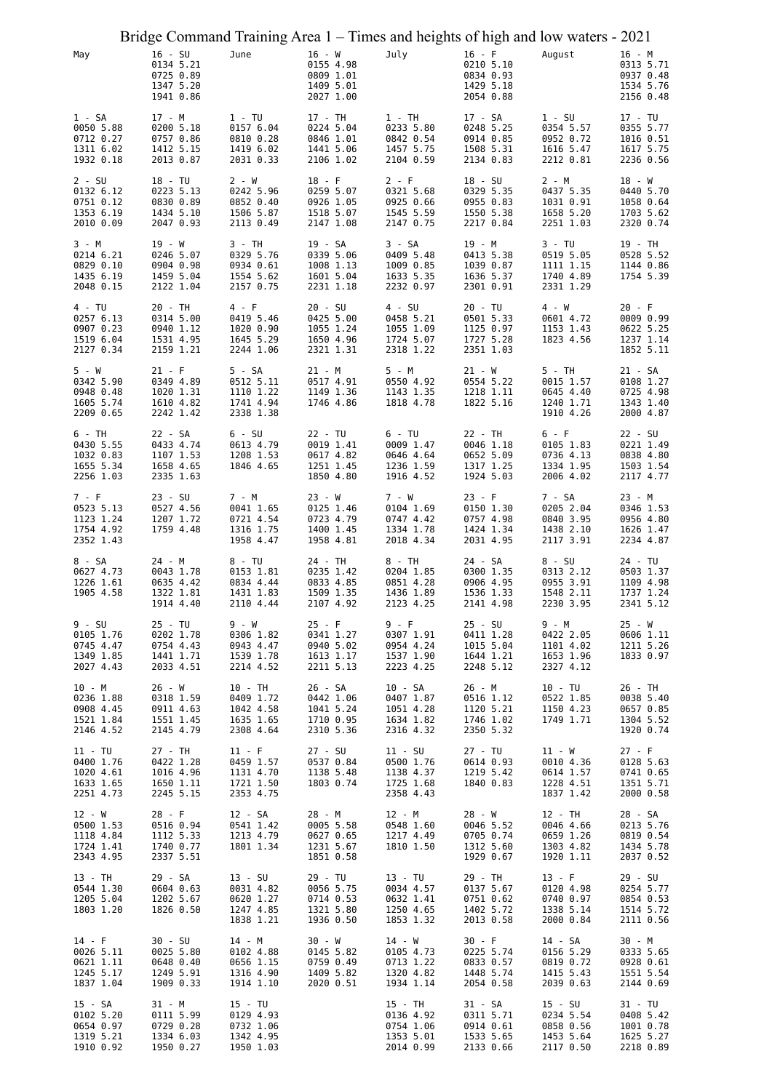|                                                               |                                                               |                                                              |                                               |                                                  | Bridge Command Training Area 1 – Times and heights of high and low waters - 2021 |          |                                                  |                                                               |                                                              |
|---------------------------------------------------------------|---------------------------------------------------------------|--------------------------------------------------------------|-----------------------------------------------|--------------------------------------------------|----------------------------------------------------------------------------------|----------|--------------------------------------------------|---------------------------------------------------------------|--------------------------------------------------------------|
| May                                                           | $16 - SU$<br>0134 5.21<br>0725 0.89<br>1347 5.20<br>1941 0.86 | June                                                         | $16 - W$<br>0809 1.01                         | 0155 4.98<br>1409 5.01<br>2027 1.00              | July                                                                             | $16 - F$ | 0210 5.10<br>0834 0.93<br>1429 5.18<br>2054 0.88 | August                                                        | $16 - M$<br>0313 5.71<br>0937 0.48<br>1534 5.76<br>2156 0.48 |
| 1 - SA<br>0050 5.88<br>0712 0.27<br>1311 6.02<br>1932 0.18    | 17 - M<br>0200 5.18<br>0757 0.86<br>1412 5.15<br>2013 0.87    | $1 - TU$<br>0157 6.04<br>0810 0.28<br>1419 6.02<br>2031 0.33 | 17 - TH                                       | 0224 5.04<br>0846 1.01<br>1441 5.06<br>2106 1.02 | $1 - TH$<br>0233 5.80<br>0842 0.54<br>1457 5.75<br>2104 0.59                     | 17 - SA  | 0248 5.25<br>0914 0.85<br>1508 5.31<br>2134 0.83 | $1 - SU$<br>0354 5.57<br>0952 0.72<br>1616 5.47<br>2212 0.81  | 17 - TU<br>0355 5.77<br>1016 0.51<br>1617 5.75<br>2236 0.56  |
| $2 - SU$<br>0132 6.12<br>0751 0.12<br>1353 6.19<br>2010 0.09  | 18 - TU<br>0223 5.13<br>0830 0.89<br>1434 5.10<br>2047 0.93   | 2 - W<br>0242 5.96<br>0852 0.40<br>1506 5.87<br>2113 0.49    | $18 - F$                                      | 0259 5.07<br>0926 1.05<br>1518 5.07<br>2147 1.08 | $2 - F$<br>0321 5.68<br>0925 0.66<br>1545 5.59<br>2147 0.75                      | 18 - SU  | 0329 5.35<br>0955 0.83<br>1550 5.38<br>2217 0.84 | 2 - M<br>0437 5.35<br>1031 0.91<br>1658 5.20<br>2251 1.03     | 18 - W<br>0440 5.70<br>1058 0.64<br>1703 5.62<br>2320 0.74   |
| 3 - M<br>0214 6.21<br>0829 0.10<br>1435 6.19<br>2048 0.15     | 19 - W<br>0246 5.07<br>0904 0.98<br>1459 5.04<br>2122 1.04    | 3 - TH<br>0329 5.76<br>0934 0.61<br>1554 5.62<br>2157 0.75   | 19 - SA<br>1008 1.13                          | 0339 5.06<br>1601 5.04<br>2231 1.18              | 3 - SA<br>0409 5.48<br>1009 0.85<br>1633 5.35<br>2232 0.97                       | 19 - M   | 0413 5.38<br>1039 0.87<br>1636 5.37<br>2301 0.91 | $3 - TU$<br>0519 5.05<br>1111 1.15<br>1740 4.89<br>2331 1.29  | 19 - TH<br>0528 5.52<br>1144 0.86<br>1754 5.39               |
| 4 - TU<br>0257 6.13<br>0907 0.23<br>1519 6.04<br>2127 0.34    | 20 - TH<br>0314 5.00<br>0940 1.12<br>1531 4.95<br>2159 1.21   | 4 - F<br>0419 5.46<br>1020 0.90<br>1645 5.29<br>2244 1.06    | $20 - SU$<br>1650 4.96                        | 0425 5.00<br>1055 1.24<br>2321 1.31              | $4 - SU$<br>0458 5.21<br>1055 1.09<br>1724 5.07<br>2318 1.22                     | 20 - TU  | 0501 5.33<br>1125 0.97<br>1727 5.28<br>2351 1.03 | 4 - W<br>0601 4.72<br>1153 1.43<br>1823 4.56                  | $20 - F$<br>0009 0.99<br>0622 5.25<br>1237 1.14<br>1852 5.11 |
| 5 - W<br>0342 5.90<br>0948 0.48<br>1605 5.74<br>2209 0.65     | $21 - F$<br>0349 4.89<br>1020 1.31<br>1610 4.82<br>2242 1.42  | 5 - SA<br>0512 5.11<br>1110 1.22<br>1741 4.94<br>2338 1.38   | $21 - M$<br>1149 1.36                         | 0517 4.91<br>1746 4.86                           | 5 - M<br>0550 4.92<br>1143 1.35<br>1818 4.78                                     | 21 - W   | 0554 5.22<br>1218 1.11<br>1822 5.16              | 5 - TH<br>0015 1.57<br>0645 4.40<br>1240 1.71<br>1910 4.26    | 21 - SA<br>0108 1.27<br>0725 4.98<br>1343 1.40<br>2000 4.87  |
| 6 - TH<br>0430 5.55<br>1032 0.83<br>1655 5.34<br>2256 1.03    | 22 - SA<br>0433 4.74<br>1107 1.53<br>1658 4.65<br>2335 1.63   | $6 - SU$<br>0613 4.79<br>1208 1.53<br>1846 4.65              | 22 - TU                                       | 0019 1.41<br>0617 4.82<br>1251 1.45<br>1850 4.80 | $6 - TU$<br>0009 1.47<br>0646 4.64<br>1236 1.59<br>1916 4.52                     | 22 - TH  | 0046 1.18<br>0652 5.09<br>1317 1.25<br>1924 5.03 | 6 - F<br>0105 1.83<br>0736 4.13<br>1334 1.95<br>2006 4.02     | 22 - SU<br>0221 1.49<br>0838 4.80<br>1503 1.54<br>2117 4.77  |
| 7 - F<br>0523 5.13<br>1123 1.24<br>1754 4.92<br>2352 1.43     | $23 - SU$<br>0527 4.56<br>1207 1.72<br>1759 4.48              | 7 - M<br>0041 1.65<br>0721 4.54<br>1316 1.75<br>1958 4.47    | $23 - W$<br>0125 1.46<br>0723 4.79            | 1400 1.45<br>1958 4.81                           | 7 - W<br>0104 1.69<br>0747 4.42<br>1334 1.78<br>2018 4.34                        | $23 - F$ | 0150 1.30<br>0757 4.98<br>1424 1.34<br>2031 4.95 | 7 - SA<br>0205 2.04<br>0840 3.95<br>1438 2.10<br>2117 3.91    | 23 - M<br>0346 1.53<br>0956 4.80<br>1626 1.47<br>2234 4.87   |
| 8 - SA<br>0627 4.73<br>1226 1.61<br>1905 4.58                 | 24 - M<br>0043 1.78<br>0635 4.42<br>1322 1.81<br>1914 4.40    | 8 - TU<br>0153 1.81<br>0834 4.44<br>1431 1.83<br>2110 4.44   | 24 - TH<br>1509 1.35                          | 0235 1.42<br>0833 4.85<br>2107 4.92              | 8 - TH<br>0204 1.85<br>0851 4.28<br>1436 1.89<br>2123 4.25                       | 24 - SA  | 0300 1.35<br>0906 4.95<br>1536 1.33<br>2141 4.98 | 8 - SU<br>0313 2.12<br>0955 3.91<br>1548 2.11<br>2230 3.95    | 24 - TU<br>0503 1.37<br>1109 4.98<br>1737 1.24<br>2341 5.12  |
| $9 - SU$<br>0105 1.76<br>0745 4.47<br>1349 1.85<br>2027 4.43  | 25 - TU<br>0202 1.78<br>0754 4.43<br>1441 1.71<br>2033 4.51   | 9 - W<br>0306 1.82<br>0943 4.47<br>1539 1.78<br>2214 4.52    | $25 - F$<br>2211 5.13                         | 0341 1.27<br>0940 5.02<br>1613 1.17              | 9 - F<br>0307 1.91<br>0954 4.24<br>1537 1.90<br>2223 4.25                        | 25 - SU  | 0411 1.28<br>1015 5.04<br>1644 1.21<br>2248 5.12 | $9 - M$<br>0422 2.05<br>1101 4.02<br>1653 1.96<br>2327 4.12   | $25 - W$<br>0606 1.11<br>1211 5.26<br>1833 0.97              |
| $10 - M$<br>0236 1.88<br>0908 4.45<br>1521 1.84<br>2146 4.52  | 26 - W<br>0318 1.59<br>0911 4.63<br>1551 1.45<br>2145 4.79    | 10 - TH<br>0409 1.72<br>1042 4.58<br>1635 1.65<br>2308 4.64  | 26 - SA<br>1041 5.24<br>1710 0.95             | 0442 1.06<br>2310 5.36                           | 10 - SA<br>0407 1.87<br>1051 4.28<br>1634 1.82<br>2316 4.32                      | 26 - M   | 0516 1.12<br>1120 5.21<br>1746 1.02<br>2350 5.32 | $10 - TU$<br>0522 1.85<br>1150 4.23<br>1749 1.71              | 26 - TH<br>0038 5.40<br>0657 0.85<br>1304 5.52<br>1920 0.74  |
| $11 - TU$<br>0400 1.76<br>1020 4.61<br>1633 1.65<br>2251 4.73 | 27 - TH<br>0422 1.28<br>1016 4.96<br>1650 1.11<br>2245 5.15   | $11 - F$<br>0459 1.57<br>1131 4.70<br>1721 1.50<br>2353 4.75 | $27 - SU$<br>1138 5.48                        | 0537 0.84<br>1803 0.74                           | $11 - SU$<br>0500 1.76<br>1138 4.37<br>1725 1.68<br>2358 4.43                    | 27 - TU  | 0614 0.93<br>1219 5.42<br>1840 0.83              | 11 - W<br>0010 4.36<br>0614 1.57<br>1228 4.51<br>1837 1.42    | $27 - F$<br>0128 5.63<br>0741 0.65<br>1351 5.71<br>2000 0.58 |
| 12 - W<br>0500 1.53<br>1118 4.84<br>1724 1.41<br>2343 4.95    | 28 - F<br>0516 0.94<br>1112 5.33<br>1740 0.77<br>2337 5.51    | 12 - SA<br>0541 1.42<br>1213 4.79<br>1801 1.34               | 28 - M<br>0627 0.65<br>1231 5.67<br>1851 0.58 | 0005 5.58                                        | 12 - M<br>0548 1.60<br>1217 4.49<br>1810 1.50                                    | 28 - W   | 0046 5.52<br>0705 0.74<br>1312 5.60<br>1929 0.67 | 12 - TH<br>0046 4.66<br>0659 1.26<br>1303 4.82<br>1920 1.11   | 28 - SA<br>0213 5.76<br>0819 0.54<br>1434 5.78<br>2037 0.52  |
| 13 - TH<br>0544 1.30<br>1205 5.04<br>1803 1.20                | 29 - SA<br>0604 0.63<br>1202 5.67<br>1826 0.50                | 13 - SU<br>0031 4.82<br>0620 1.27<br>1247 4.85<br>1838 1.21  | 29 - TU<br>0714 0.53<br>1936 0.50             | 0056 5.75<br>1321 5.80                           | 13 - TU<br>0034 4.57<br>0632 1.41<br>1250 4.65<br>1853 1.32                      | 29 - TH  | 0137 5.67<br>0751 0.62<br>1402 5.72<br>2013 0.58 | $13 - F$<br>0120 4.98<br>0740 0.97<br>1338 5.14<br>2000 0.84  | 29 - SU<br>0254 5.77<br>0854 0.53<br>1514 5.72<br>2111 0.56  |
| $14 - F$<br>0026 5.11<br>0621 1.11<br>1245 5.17<br>1837 1.04  | 30 - SU<br>0025 5.80<br>0648 0.40<br>1249 5.91<br>1909 0.33   | 14 - M<br>0102 4.88<br>0656 1.15<br>1316 4.90<br>1914 1.10   | 30 - W<br>2020 0.51                           | 0145 5.82<br>0759 0.49<br>1409 5.82              | 14 - W<br>0105 4.73<br>0713 1.22<br>1320 4.82<br>1934 1.14                       | 30 - F   | 0225 5.74<br>0833 0.57<br>1448 5.74<br>2054 0.58 | 14 - SA<br>0156 5.29<br>0819 0.72<br>1415 5.43<br>2039 0.63   | 30 - M<br>0333 5.65<br>0928 0.61<br>1551 5.54<br>2144 0.69   |
| 15 - SA<br>0102 5.20<br>0654 0.97<br>1319 5.21<br>1910 0.92   | 31 - M<br>0111 5.99<br>0729 0.28<br>1334 6.03<br>1950 0.27    | 15 - TU<br>0129 4.93<br>0732 1.06<br>1342 4.95<br>1950 1.03  |                                               |                                                  | 15 - TH<br>0136 4.92<br>0754 1.06<br>1353 5.01<br>2014 0.99                      | 31 - SA  | 0311 5.71<br>0914 0.61<br>1533 5.65<br>2133 0.66 | $15 - SU$<br>0234 5.54<br>0858 0.56<br>1453 5.64<br>2117 0.50 | 31 - TU<br>0408 5.42<br>1001 0.78<br>1625 5.27<br>2218 0.89  |